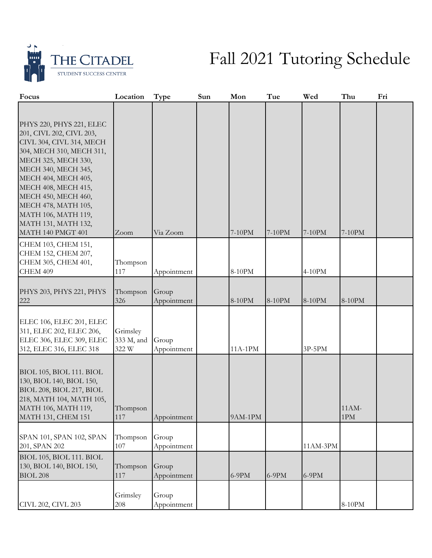

## Fall 2021 Tutoring Schedule

| Focus                                                                                                                                                                                                                                                                                                                     | Location                        | Type                 | Sun | Mon     | Tue     | Wed      | Thu                     | Fri |
|---------------------------------------------------------------------------------------------------------------------------------------------------------------------------------------------------------------------------------------------------------------------------------------------------------------------------|---------------------------------|----------------------|-----|---------|---------|----------|-------------------------|-----|
| PHYS 220, PHYS 221, ELEC<br>201, CIVL 202, CIVL 203,<br>CIVL 304, CIVL 314, MECH<br>304, MECH 310, MECH 311,<br>MECH 325, MECH 330,<br>MECH 340, MECH 345,<br>MECH 404, MECH 405,<br>MECH 408, MECH 415,<br>MECH 450, MECH 460,<br>MECH 478, MATH 105,<br>MATH 106, MATH 119,<br>MATH 131, MATH 132,<br>MATH 140 PMGT 401 | Zoom                            | Via Zoom             |     | 7-10PM  | 7-10PM  | 7-10PM   | 7-10PM                  |     |
| CHEM 103, CHEM 151,<br>CHEM 152, CHEM 207,<br>CHEM 305, CHEM 401,<br>CHEM 409                                                                                                                                                                                                                                             | Thompson<br>117                 | Appointment          |     | 8-10PM  |         | 4-10PM   |                         |     |
| PHYS 203, PHYS 221, PHYS<br>222                                                                                                                                                                                                                                                                                           | Thompson<br>326                 | Group<br>Appointment |     | 8-10PM  | 8-10PM  | 8-10PM   | 8-10PM                  |     |
| ELEC 106, ELEC 201, ELEC<br>311, ELEC 202, ELEC 206,<br>ELEC 306, ELEC 309, ELEC<br>312, ELEC 316, ELEC 318                                                                                                                                                                                                               | Grimsley<br>333 M, and<br>322 W | Group<br>Appointment |     | 11A-1PM |         | 3P-5PM   |                         |     |
| BIOL 105, BIOL 111. BIOL<br>130, BIOL 140, BIOL 150,<br>BIOL 208, BIOL 217, BIOL<br>218, MATH 104, MATH 105,<br>MATH 106, MATH 119,<br><b>MATH 131, CHEM 151</b>                                                                                                                                                          | Thompson<br>117                 | Appointment          |     | 9AM-1PM |         |          | 11AM-<br>$1\mathrm{PM}$ |     |
| SPAN 101, SPAN 102, SPAN<br>201, SPAN 202                                                                                                                                                                                                                                                                                 | Thompson<br>107                 | Group<br>Appointment |     |         |         | 11AM-3PM |                         |     |
| BIOL 105, BIOL 111. BIOL<br>130, BIOL 140, BIOL 150,<br><b>BIOL 208</b>                                                                                                                                                                                                                                                   | Thompson<br>117                 | Group<br>Appointment |     | $6-9PM$ | $6-9PM$ | $6-9PM$  |                         |     |
| CIVL 202, CIVL 203                                                                                                                                                                                                                                                                                                        | Grimsley<br>208                 | Group<br>Appointment |     |         |         |          | 8-10PM                  |     |